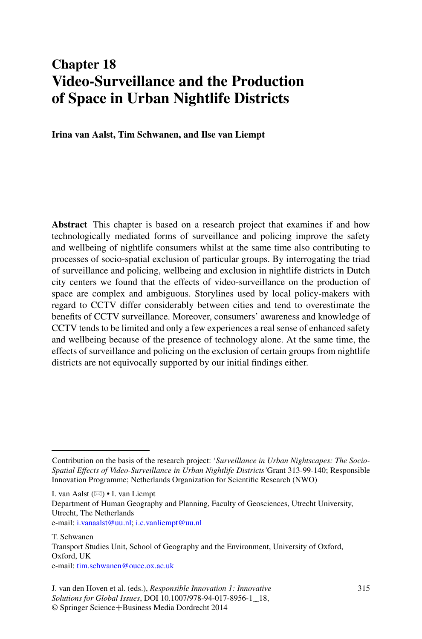# **Chapter 18 Video-Surveillance and the Production of Space in Urban Nightlife Districts**

**Irina van Aalst, Tim Schwanen, and Ilse van Liempt**

**Abstract** This chapter is based on a research project that examines if and how technologically mediated forms of surveillance and policing improve the safety and wellbeing of nightlife consumers whilst at the same time also contributing to processes of socio-spatial exclusion of particular groups. By interrogating the triad of surveillance and policing, wellbeing and exclusion in nightlife districts in Dutch city centers we found that the effects of video-surveillance on the production of space are complex and ambiguous. Storylines used by local policy-makers with regard to CCTV differ considerably between cities and tend to overestimate the benefits of CCTV surveillance. Moreover, consumers' awareness and knowledge of CCTV tends to be limited and only a few experiences a real sense of enhanced safety and wellbeing because of the presence of technology alone. At the same time, the effects of surveillance and policing on the exclusion of certain groups from nightlife districts are not equivocally supported by our initial findings either.

I. van Aalst (⊠) • I. van Liempt

e-mail: [i.vanaalst@uu.nl;](mailto:i.vanaalst@uu.nl) [i.c.vanliempt@uu.nl](mailto:i.c.vanliempt@uu.nl)

e-mail: [tim.schwanen@ouce.ox.ac.uk](mailto:tim.schwanen@ouce.ox.ac.uk)

Contribution on the basis of the research project: '*Surveillance in Urban Nightscapes: The Socio-Spatial Effects of Video-Surveillance in Urban Nightlife Districts'*Grant 313-99-140; Responsible Innovation Programme; Netherlands Organization for Scientific Research (NWO)

Department of Human Geography and Planning, Faculty of Geosciences, Utrecht University, Utrecht, The Netherlands

T. Schwanen Transport Studies Unit, School of Geography and the Environment, University of Oxford, Oxford, UK

J. van den Hoven et al. (eds.), *Responsible Innovation 1: Innovative Solutions for Global Issues*, DOI 10.1007/978-94-017-8956-1\_\_18, © Springer Science+Business Media Dordrecht 2014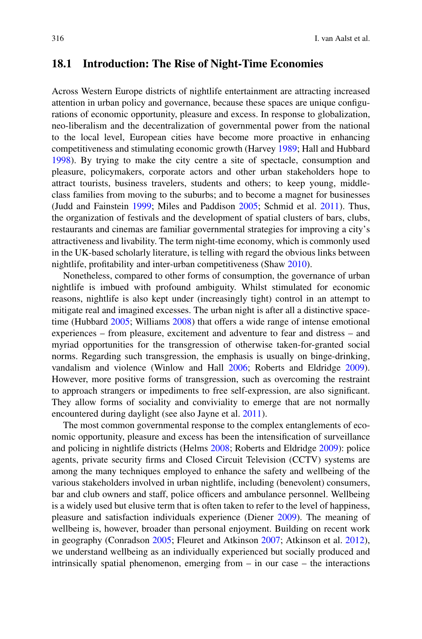#### **18.1 Introduction: The Rise of Night-Time Economies**

Across Western Europe districts of nightlife entertainment are attracting increased attention in urban policy and governance, because these spaces are unique configurations of economic opportunity, pleasure and excess. In response to globalization, neo-liberalism and the decentralization of governmental power from the national to the local level, European cities have become more proactive in enhancing competitiveness and stimulating economic growth (Harvey [1989;](#page-18-0) Hall and Hubbard [1998\)](#page-18-1). By trying to make the city centre a site of spectacle, consumption and pleasure, policymakers, corporate actors and other urban stakeholders hope to attract tourists, business travelers, students and others; to keep young, middleclass families from moving to the suburbs; and to become a magnet for businesses (Judd and Fainstein [1999;](#page-18-2) Miles and Paddison [2005;](#page-18-3) Schmid et al. [2011\)](#page-18-4). Thus, the organization of festivals and the development of spatial clusters of bars, clubs, restaurants and cinemas are familiar governmental strategies for improving a city's attractiveness and livability. The term night-time economy, which is commonly used in the UK-based scholarly literature, is telling with regard the obvious links between nightlife, profitability and inter-urban competitiveness (Shaw [2010\)](#page-18-5).

Nonetheless, compared to other forms of consumption, the governance of urban nightlife is imbued with profound ambiguity. Whilst stimulated for economic reasons, nightlife is also kept under (increasingly tight) control in an attempt to mitigate real and imagined excesses. The urban night is after all a distinctive spacetime (Hubbard [2005;](#page-18-6) Williams [2008\)](#page-19-0) that offers a wide range of intense emotional experiences – from pleasure, excitement and adventure to fear and distress – and myriad opportunities for the transgression of otherwise taken-for-granted social norms. Regarding such transgression, the emphasis is usually on binge-drinking, vandalism and violence (Winlow and Hall [2006;](#page-19-1) Roberts and Eldridge [2009\)](#page-18-7). However, more positive forms of transgression, such as overcoming the restraint to approach strangers or impediments to free self-expression, are also significant. They allow forms of sociality and conviviality to emerge that are not normally encountered during daylight (see also Jayne et al. [2011\)](#page-18-8).

The most common governmental response to the complex entanglements of economic opportunity, pleasure and excess has been the intensification of surveillance and policing in nightlife districts (Helms [2008;](#page-18-9) Roberts and Eldridge [2009\)](#page-18-7): police agents, private security firms and Closed Circuit Television (CCTV) systems are among the many techniques employed to enhance the safety and wellbeing of the various stakeholders involved in urban nightlife, including (benevolent) consumers, bar and club owners and staff, police officers and ambulance personnel. Wellbeing is a widely used but elusive term that is often taken to refer to the level of happiness, pleasure and satisfaction individuals experience (Diener [2009\)](#page-17-0). The meaning of wellbeing is, however, broader than personal enjoyment. Building on recent work in geography (Conradson [2005;](#page-17-1) Fleuret and Atkinson [2007;](#page-17-2) Atkinson et al. [2012\)](#page-17-3), we understand wellbeing as an individually experienced but socially produced and intrinsically spatial phenomenon, emerging from – in our case – the interactions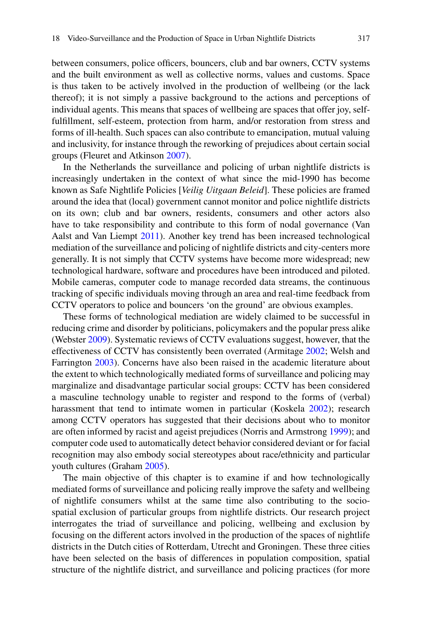between consumers, police officers, bouncers, club and bar owners, CCTV systems and the built environment as well as collective norms, values and customs. Space is thus taken to be actively involved in the production of wellbeing (or the lack thereof); it is not simply a passive background to the actions and perceptions of individual agents. This means that spaces of wellbeing are spaces that offer joy, selffulfillment, self-esteem, protection from harm, and/or restoration from stress and forms of ill-health. Such spaces can also contribute to emancipation, mutual valuing and inclusivity, for instance through the reworking of prejudices about certain social groups (Fleuret and Atkinson [2007\)](#page-17-2).

In the Netherlands the surveillance and policing of urban nightlife districts is increasingly undertaken in the context of what since the mid-1990 has become known as Safe Nightlife Policies [*Veilig Uitgaan Beleid*]. These policies are framed around the idea that (local) government cannot monitor and police nightlife districts on its own; club and bar owners, residents, consumers and other actors also have to take responsibility and contribute to this form of nodal governance (Van Aalst and Van Liempt [2011\)](#page-19-2). Another key trend has been increased technological mediation of the surveillance and policing of nightlife districts and city-centers more generally. It is not simply that CCTV systems have become more widespread; new technological hardware, software and procedures have been introduced and piloted. Mobile cameras, computer code to manage recorded data streams, the continuous tracking of specific individuals moving through an area and real-time feedback from CCTV operators to police and bouncers 'on the ground' are obvious examples.

These forms of technological mediation are widely claimed to be successful in reducing crime and disorder by politicians, policymakers and the popular press alike (Webster [2009\)](#page-19-3). Systematic reviews of CCTV evaluations suggest, however, that the effectiveness of CCTV has consistently been overrated (Armitage [2002;](#page-17-4) Welsh and Farrington [2003\)](#page-19-4). Concerns have also been raised in the academic literature about the extent to which technologically mediated forms of surveillance and policing may marginalize and disadvantage particular social groups: CCTV has been considered a masculine technology unable to register and respond to the forms of (verbal) harassment that tend to intimate women in particular (Koskela [2002\)](#page-18-10); research among CCTV operators has suggested that their decisions about who to monitor are often informed by racist and ageist prejudices (Norris and Armstrong [1999\)](#page-18-11); and computer code used to automatically detect behavior considered deviant or for facial recognition may also embody social stereotypes about race/ethnicity and particular youth cultures (Graham [2005\)](#page-18-12).

The main objective of this chapter is to examine if and how technologically mediated forms of surveillance and policing really improve the safety and wellbeing of nightlife consumers whilst at the same time also contributing to the sociospatial exclusion of particular groups from nightlife districts. Our research project interrogates the triad of surveillance and policing, wellbeing and exclusion by focusing on the different actors involved in the production of the spaces of nightlife districts in the Dutch cities of Rotterdam, Utrecht and Groningen. These three cities have been selected on the basis of differences in population composition, spatial structure of the nightlife district, and surveillance and policing practices (for more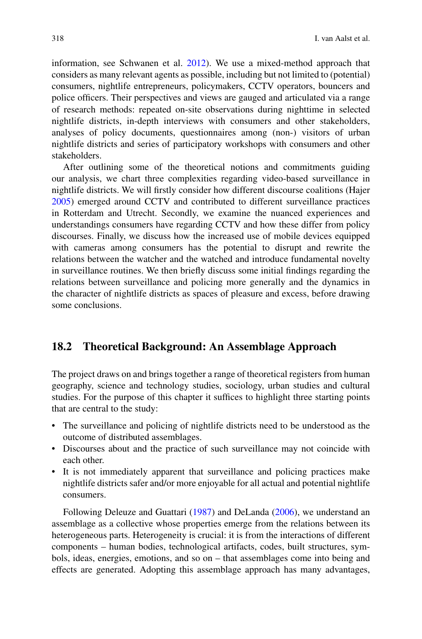information, see Schwanen et al. [2012\)](#page-18-13). We use a mixed-method approach that considers as many relevant agents as possible, including but not limited to (potential) consumers, nightlife entrepreneurs, policymakers, CCTV operators, bouncers and police officers. Their perspectives and views are gauged and articulated via a range of research methods: repeated on-site observations during nighttime in selected nightlife districts, in-depth interviews with consumers and other stakeholders, analyses of policy documents, questionnaires among (non-) visitors of urban nightlife districts and series of participatory workshops with consumers and other stakeholders.

After outlining some of the theoretical notions and commitments guiding our analysis, we chart three complexities regarding video-based surveillance in nightlife districts. We will firstly consider how different discourse coalitions (Hajer [2005\)](#page-18-14) emerged around CCTV and contributed to different surveillance practices in Rotterdam and Utrecht. Secondly, we examine the nuanced experiences and understandings consumers have regarding CCTV and how these differ from policy discourses. Finally, we discuss how the increased use of mobile devices equipped with cameras among consumers has the potential to disrupt and rewrite the relations between the watcher and the watched and introduce fundamental novelty in surveillance routines. We then briefly discuss some initial findings regarding the relations between surveillance and policing more generally and the dynamics in the character of nightlife districts as spaces of pleasure and excess, before drawing some conclusions.

### **18.2 Theoretical Background: An Assemblage Approach**

The project draws on and brings together a range of theoretical registers from human geography, science and technology studies, sociology, urban studies and cultural studies. For the purpose of this chapter it suffices to highlight three starting points that are central to the study:

- The surveillance and policing of nightlife districts need to be understood as the outcome of distributed assemblages.
- Discourses about and the practice of such surveillance may not coincide with each other.
- It is not immediately apparent that surveillance and policing practices make nightlife districts safer and/or more enjoyable for all actual and potential nightlife consumers.

Following Deleuze and Guattari [\(1987\)](#page-17-5) and DeLanda [\(2006\)](#page-17-6), we understand an assemblage as a collective whose properties emerge from the relations between its heterogeneous parts. Heterogeneity is crucial: it is from the interactions of different components – human bodies, technological artifacts, codes, built structures, symbols, ideas, energies, emotions, and so on – that assemblages come into being and effects are generated. Adopting this assemblage approach has many advantages,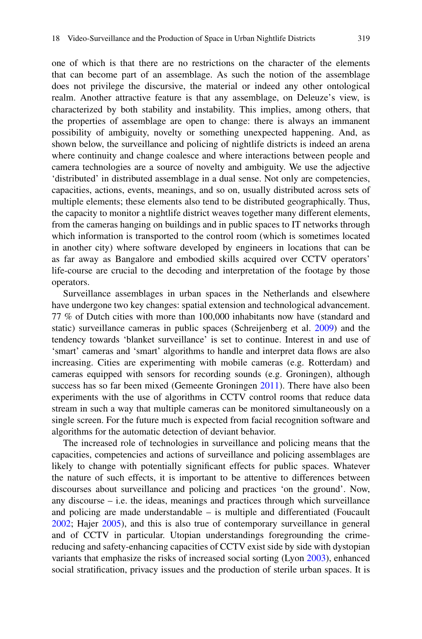one of which is that there are no restrictions on the character of the elements that can become part of an assemblage. As such the notion of the assemblage does not privilege the discursive, the material or indeed any other ontological realm. Another attractive feature is that any assemblage, on Deleuze's view, is characterized by both stability and instability. This implies, among others, that the properties of assemblage are open to change: there is always an immanent possibility of ambiguity, novelty or something unexpected happening. And, as shown below, the surveillance and policing of nightlife districts is indeed an arena where continuity and change coalesce and where interactions between people and camera technologies are a source of novelty and ambiguity. We use the adjective 'distributed' in distributed assemblage in a dual sense. Not only are competencies, capacities, actions, events, meanings, and so on, usually distributed across sets of multiple elements; these elements also tend to be distributed geographically. Thus, the capacity to monitor a nightlife district weaves together many different elements, from the cameras hanging on buildings and in public spaces to IT networks through which information is transported to the control room (which is sometimes located in another city) where software developed by engineers in locations that can be as far away as Bangalore and embodied skills acquired over CCTV operators' life-course are crucial to the decoding and interpretation of the footage by those operators.

Surveillance assemblages in urban spaces in the Netherlands and elsewhere have undergone two key changes: spatial extension and technological advancement. 77 % of Dutch cities with more than 100,000 inhabitants now have (standard and static) surveillance cameras in public spaces (Schreijenberg et al. [2009\)](#page-18-15) and the tendency towards 'blanket surveillance' is set to continue. Interest in and use of 'smart' cameras and 'smart' algorithms to handle and interpret data flows are also increasing. Cities are experimenting with mobile cameras (e.g. Rotterdam) and cameras equipped with sensors for recording sounds (e.g. Groningen), although success has so far been mixed (Gemeente Groningen [2011\)](#page-17-7). There have also been experiments with the use of algorithms in CCTV control rooms that reduce data stream in such a way that multiple cameras can be monitored simultaneously on a single screen. For the future much is expected from facial recognition software and algorithms for the automatic detection of deviant behavior.

The increased role of technologies in surveillance and policing means that the capacities, competencies and actions of surveillance and policing assemblages are likely to change with potentially significant effects for public spaces. Whatever the nature of such effects, it is important to be attentive to differences between discourses about surveillance and policing and practices 'on the ground'. Now, any discourse – i.e. the ideas, meanings and practices through which surveillance and policing are made understandable – is multiple and differentiated (Foucault [2002;](#page-17-8) Hajer [2005\)](#page-18-14), and this is also true of contemporary surveillance in general and of CCTV in particular. Utopian understandings foregrounding the crimereducing and safety-enhancing capacities of CCTV exist side by side with dystopian variants that emphasize the risks of increased social sorting (Lyon [2003\)](#page-18-16), enhanced social stratification, privacy issues and the production of sterile urban spaces. It is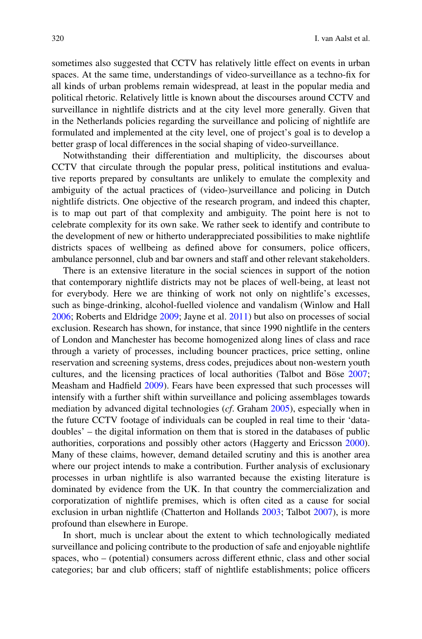sometimes also suggested that CCTV has relatively little effect on events in urban spaces. At the same time, understandings of video-surveillance as a techno-fix for all kinds of urban problems remain widespread, at least in the popular media and political rhetoric. Relatively little is known about the discourses around CCTV and surveillance in nightlife districts and at the city level more generally. Given that in the Netherlands policies regarding the surveillance and policing of nightlife are formulated and implemented at the city level, one of project's goal is to develop a better grasp of local differences in the social shaping of video-surveillance.

Notwithstanding their differentiation and multiplicity, the discourses about CCTV that circulate through the popular press, political institutions and evaluative reports prepared by consultants are unlikely to emulate the complexity and ambiguity of the actual practices of (video-)surveillance and policing in Dutch nightlife districts. One objective of the research program, and indeed this chapter, is to map out part of that complexity and ambiguity. The point here is not to celebrate complexity for its own sake. We rather seek to identify and contribute to the development of new or hitherto underappreciated possibilities to make nightlife districts spaces of wellbeing as defined above for consumers, police officers, ambulance personnel, club and bar owners and staff and other relevant stakeholders.

There is an extensive literature in the social sciences in support of the notion that contemporary nightlife districts may not be places of well-being, at least not for everybody. Here we are thinking of work not only on nightlife's excesses, such as binge-drinking, alcohol-fuelled violence and vandalism (Winlow and Hall [2006;](#page-19-1) Roberts and Eldridge [2009;](#page-18-7) Jayne et al. [2011\)](#page-18-8) but also on processes of social exclusion. Research has shown, for instance, that since 1990 nightlife in the centers of London and Manchester has become homogenized along lines of class and race through a variety of processes, including bouncer practices, price setting, online reservation and screening systems, dress codes, prejudices about non-western youth cultures, and the licensing practices of local authorities (Talbot and Böse [2007;](#page-19-5) Measham and Hadfield [2009\)](#page-18-17). Fears have been expressed that such processes will intensify with a further shift within surveillance and policing assemblages towards mediation by advanced digital technologies (*cf*. Graham [2005\)](#page-18-12), especially when in the future CCTV footage of individuals can be coupled in real time to their 'datadoubles' – the digital information on them that is stored in the databases of public authorities, corporations and possibly other actors (Haggerty and Ericsson [2000\)](#page-18-18). Many of these claims, however, demand detailed scrutiny and this is another area where our project intends to make a contribution. Further analysis of exclusionary processes in urban nightlife is also warranted because the existing literature is dominated by evidence from the UK. In that country the commercialization and corporatization of nightlife premises, which is often cited as a cause for social exclusion in urban nightlife (Chatterton and Hollands [2003;](#page-17-9) Talbot [2007\)](#page-19-6), is more profound than elsewhere in Europe.

In short, much is unclear about the extent to which technologically mediated surveillance and policing contribute to the production of safe and enjoyable nightlife spaces, who – (potential) consumers across different ethnic, class and other social categories; bar and club officers; staff of nightlife establishments; police officers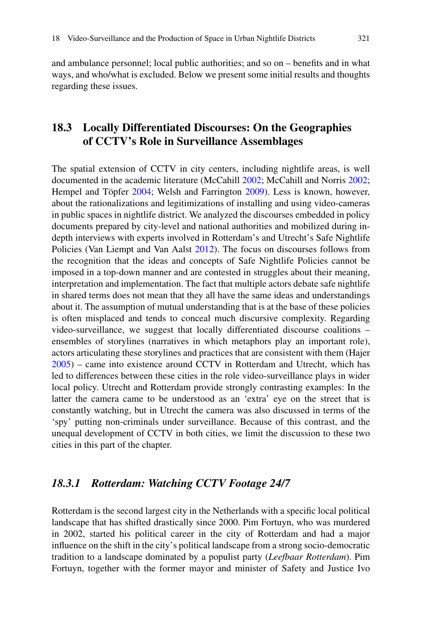and ambulance personnel; local public authorities; and so on – benefits and in what ways, and who/what is excluded. Below we present some initial results and thoughts regarding these issues.

### **18.3 Locally Differentiated Discourses: On the Geographies of CCTV's Role in Surveillance Assemblages**

The spatial extension of CCTV in city centers, including nightlife areas, is well documented in the academic literature (McCahill [2002;](#page-18-19) McCahill and Norris [2002;](#page-18-20) Hempel and Töpfer [2004;](#page-18-21) Welsh and Farrington [2009\)](#page-19-7). Less is known, however, about the rationalizations and legitimizations of installing and using video-cameras in public spaces in nightlife district. We analyzed the discourses embedded in policy documents prepared by city-level and national authorities and mobilized during indepth interviews with experts involved in Rotterdam's and Utrecht's Safe Nightlife Policies (Van Liempt and Van Aalst [2012\)](#page-19-8). The focus on discourses follows from the recognition that the ideas and concepts of Safe Nightlife Policies cannot be imposed in a top-down manner and are contested in struggles about their meaning, interpretation and implementation. The fact that multiple actors debate safe nightlife in shared terms does not mean that they all have the same ideas and understandings about it. The assumption of mutual understanding that is at the base of these policies is often misplaced and tends to conceal much discursive complexity. Regarding video-surveillance, we suggest that locally differentiated discourse coalitions – ensembles of storylines (narratives in which metaphors play an important role), actors articulating these storylines and practices that are consistent with them (Hajer [2005\)](#page-18-14) – came into existence around CCTV in Rotterdam and Utrecht, which has led to differences between these cities in the role video-surveillance plays in wider local policy. Utrecht and Rotterdam provide strongly contrasting examples: In the latter the camera came to be understood as an 'extra' eye on the street that is constantly watching, but in Utrecht the camera was also discussed in terms of the 'spy' putting non-criminals under surveillance. Because of this contrast, and the unequal development of CCTV in both cities, we limit the discussion to these two cities in this part of the chapter.

### *18.3.1 Rotterdam: Watching CCTV Footage 24/7*

Rotterdam is the second largest city in the Netherlands with a specific local political landscape that has shifted drastically since 2000. Pim Fortuyn, who was murdered in 2002, started his political career in the city of Rotterdam and had a major influence on the shift in the city's political landscape from a strong socio-democratic tradition to a landscape dominated by a populist party (*Leefbaar Rotterdam*). Pim Fortuyn, together with the former mayor and minister of Safety and Justice Ivo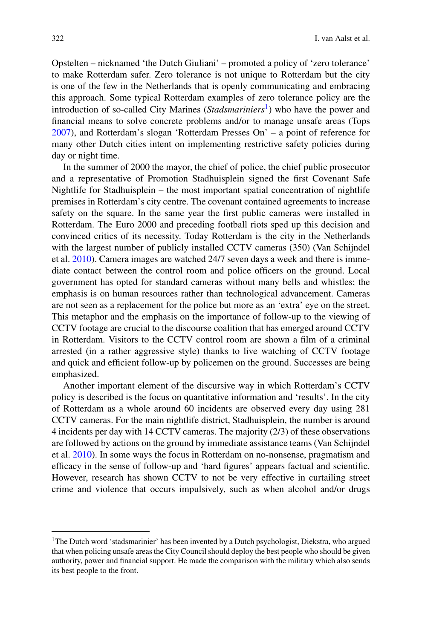Opstelten – nicknamed 'the Dutch Giuliani' – promoted a policy of 'zero tolerance' to make Rotterdam safer. Zero tolerance is not unique to Rotterdam but the city is one of the few in the Netherlands that is openly communicating and embracing this approach. Some typical Rotterdam examples of zero tolerance policy are the introduction of so-called City Marines (*Stadsmariniers*[1\)](#page-7-0) who have the power and financial means to solve concrete problems and/or to manage unsafe areas (Tops [2007\)](#page-19-9), and Rotterdam's slogan 'Rotterdam Presses On' – a point of reference for many other Dutch cities intent on implementing restrictive safety policies during day or night time.

In the summer of 2000 the mayor, the chief of police, the chief public prosecutor and a representative of Promotion Stadhuisplein signed the first Covenant Safe Nightlife for Stadhuisplein – the most important spatial concentration of nightlife premises in Rotterdam's city centre. The covenant contained agreements to increase safety on the square. In the same year the first public cameras were installed in Rotterdam. The Euro 2000 and preceding football riots sped up this decision and convinced critics of its necessity. Today Rotterdam is the city in the Netherlands with the largest number of publicly installed CCTV cameras (350) (Van Schijndel et al. [2010\)](#page-19-10). Camera images are watched 24/7 seven days a week and there is immediate contact between the control room and police officers on the ground. Local government has opted for standard cameras without many bells and whistles; the emphasis is on human resources rather than technological advancement. Cameras are not seen as a replacement for the police but more as an 'extra' eye on the street. This metaphor and the emphasis on the importance of follow-up to the viewing of CCTV footage are crucial to the discourse coalition that has emerged around CCTV in Rotterdam. Visitors to the CCTV control room are shown a film of a criminal arrested (in a rather aggressive style) thanks to live watching of CCTV footage and quick and efficient follow-up by policemen on the ground. Successes are being emphasized.

Another important element of the discursive way in which Rotterdam's CCTV policy is described is the focus on quantitative information and 'results'. In the city of Rotterdam as a whole around 60 incidents are observed every day using 281 CCTV cameras. For the main nightlife district, Stadhuisplein, the number is around 4 incidents per day with 14 CCTV cameras. The majority (2/3) of these observations are followed by actions on the ground by immediate assistance teams (Van Schijndel et al. [2010\)](#page-19-10). In some ways the focus in Rotterdam on no-nonsense, pragmatism and efficacy in the sense of follow-up and 'hard figures' appears factual and scientific. However, research has shown CCTV to not be very effective in curtailing street crime and violence that occurs impulsively, such as when alcohol and/or drugs

<span id="page-7-0"></span><sup>1</sup>The Dutch word 'stadsmarinier' has been invented by a Dutch psychologist, Diekstra, who argued that when policing unsafe areas the City Council should deploy the best people who should be given authority, power and financial support. He made the comparison with the military which also sends its best people to the front.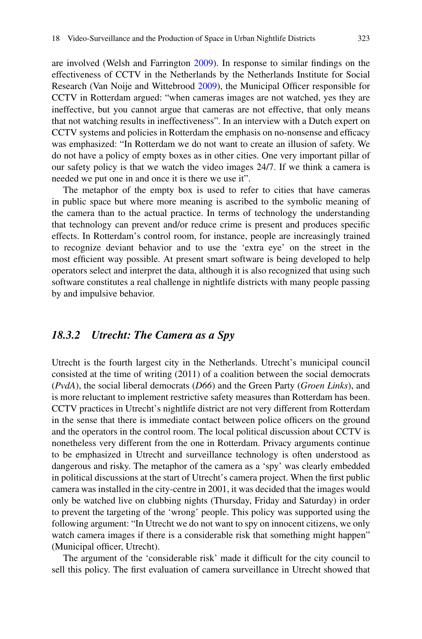are involved (Welsh and Farrington [2009\)](#page-19-7). In response to similar findings on the effectiveness of CCTV in the Netherlands by the Netherlands Institute for Social Research (Van Noije and Wittebrood [2009\)](#page-19-11), the Municipal Officer responsible for CCTV in Rotterdam argued: "when cameras images are not watched, yes they are ineffective, but you cannot argue that cameras are not effective, that only means that not watching results in ineffectiveness". In an interview with a Dutch expert on CCTV systems and policies in Rotterdam the emphasis on no-nonsense and efficacy was emphasized: "In Rotterdam we do not want to create an illusion of safety. We do not have a policy of empty boxes as in other cities. One very important pillar of our safety policy is that we watch the video images 24/7. If we think a camera is needed we put one in and once it is there we use it".

The metaphor of the empty box is used to refer to cities that have cameras in public space but where more meaning is ascribed to the symbolic meaning of the camera than to the actual practice. In terms of technology the understanding that technology can prevent and/or reduce crime is present and produces specific effects. In Rotterdam's control room, for instance, people are increasingly trained to recognize deviant behavior and to use the 'extra eye' on the street in the most efficient way possible. At present smart software is being developed to help operators select and interpret the data, although it is also recognized that using such software constitutes a real challenge in nightlife districts with many people passing by and impulsive behavior.

### *18.3.2 Utrecht: The Camera as a Spy*

Utrecht is the fourth largest city in the Netherlands. Utrecht's municipal council consisted at the time of writing (2011) of a coalition between the social democrats (*PvdA*), the social liberal democrats (*D66*) and the Green Party (*Groen Links*), and is more reluctant to implement restrictive safety measures than Rotterdam has been. CCTV practices in Utrecht's nightlife district are not very different from Rotterdam in the sense that there is immediate contact between police officers on the ground and the operators in the control room. The local political discussion about CCTV is nonetheless very different from the one in Rotterdam. Privacy arguments continue to be emphasized in Utrecht and surveillance technology is often understood as dangerous and risky. The metaphor of the camera as a 'spy' was clearly embedded in political discussions at the start of Utrecht's camera project. When the first public camera was installed in the city-centre in 2001, it was decided that the images would only be watched live on clubbing nights (Thursday, Friday and Saturday) in order to prevent the targeting of the 'wrong' people. This policy was supported using the following argument: "In Utrecht we do not want to spy on innocent citizens, we only watch camera images if there is a considerable risk that something might happen" (Municipal officer, Utrecht).

The argument of the 'considerable risk' made it difficult for the city council to sell this policy. The first evaluation of camera surveillance in Utrecht showed that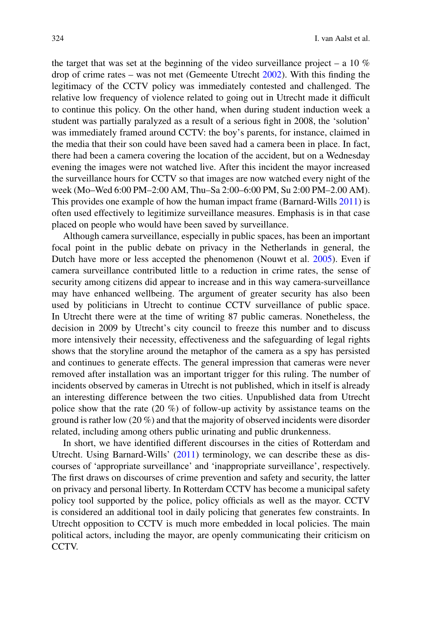the target that was set at the beginning of the video surveillance project – a 10  $%$ drop of crime rates – was not met (Gemeente Utrecht [2002\)](#page-17-10). With this finding the legitimacy of the CCTV policy was immediately contested and challenged. The relative low frequency of violence related to going out in Utrecht made it difficult to continue this policy. On the other hand, when during student induction week a student was partially paralyzed as a result of a serious fight in 2008, the 'solution' was immediately framed around CCTV: the boy's parents, for instance, claimed in the media that their son could have been saved had a camera been in place. In fact, there had been a camera covering the location of the accident, but on a Wednesday evening the images were not watched live. After this incident the mayor increased the surveillance hours for CCTV so that images are now watched every night of the week (Mo–Wed 6:00 PM–2:00 AM, Thu–Sa 2:00–6:00 PM, Su 2:00 PM–2.00 AM). This provides one example of how the human impact frame (Barnard-Wills [2011\)](#page-17-11) is often used effectively to legitimize surveillance measures. Emphasis is in that case placed on people who would have been saved by surveillance.

Although camera surveillance, especially in public spaces, has been an important focal point in the public debate on privacy in the Netherlands in general, the Dutch have more or less accepted the phenomenon (Nouwt et al. [2005\)](#page-18-22). Even if camera surveillance contributed little to a reduction in crime rates, the sense of security among citizens did appear to increase and in this way camera-surveillance may have enhanced wellbeing. The argument of greater security has also been used by politicians in Utrecht to continue CCTV surveillance of public space. In Utrecht there were at the time of writing 87 public cameras. Nonetheless, the decision in 2009 by Utrecht's city council to freeze this number and to discuss more intensively their necessity, effectiveness and the safeguarding of legal rights shows that the storyline around the metaphor of the camera as a spy has persisted and continues to generate effects. The general impression that cameras were never removed after installation was an important trigger for this ruling. The number of incidents observed by cameras in Utrecht is not published, which in itself is already an interesting difference between the two cities. Unpublished data from Utrecht police show that the rate  $(20 \%)$  of follow-up activity by assistance teams on the ground is rather low (20 %) and that the majority of observed incidents were disorder related, including among others public urinating and public drunkenness.

In short, we have identified different discourses in the cities of Rotterdam and Utrecht. Using Barnard-Wills' [\(2011\)](#page-17-11) terminology, we can describe these as discourses of 'appropriate surveillance' and 'inappropriate surveillance', respectively. The first draws on discourses of crime prevention and safety and security, the latter on privacy and personal liberty. In Rotterdam CCTV has become a municipal safety policy tool supported by the police, policy officials as well as the mayor. CCTV is considered an additional tool in daily policing that generates few constraints. In Utrecht opposition to CCTV is much more embedded in local policies. The main political actors, including the mayor, are openly communicating their criticism on CCTV.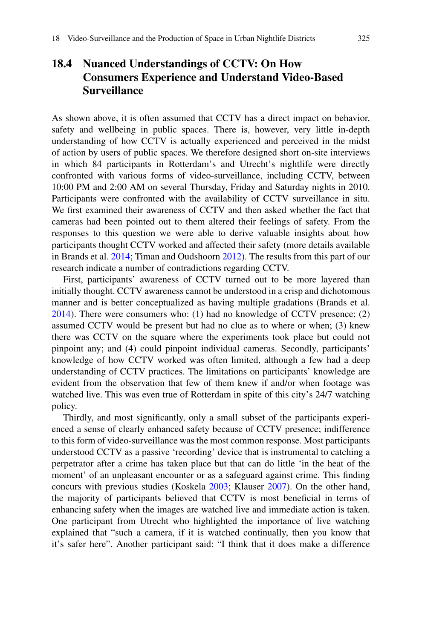## **18.4 Nuanced Understandings of CCTV: On How Consumers Experience and Understand Video-Based Surveillance**

As shown above, it is often assumed that CCTV has a direct impact on behavior, safety and wellbeing in public spaces. There is, however, very little in-depth understanding of how CCTV is actually experienced and perceived in the midst of action by users of public spaces. We therefore designed short on-site interviews in which 84 participants in Rotterdam's and Utrecht's nightlife were directly confronted with various forms of video-surveillance, including CCTV, between 10:00 PM and 2:00 AM on several Thursday, Friday and Saturday nights in 2010. Participants were confronted with the availability of CCTV surveillance in situ. We first examined their awareness of CCTV and then asked whether the fact that cameras had been pointed out to them altered their feelings of safety. From the responses to this question we were able to derive valuable insights about how participants thought CCTV worked and affected their safety (more details available in Brands et al. [2014;](#page-17-12) Timan and Oudshoorn [2012\)](#page-19-12). The results from this part of our research indicate a number of contradictions regarding CCTV.

First, participants' awareness of CCTV turned out to be more layered than initially thought. CCTV awareness cannot be understood in a crisp and dichotomous manner and is better conceptualized as having multiple gradations (Brands et al. [2014\)](#page-17-12). There were consumers who: (1) had no knowledge of CCTV presence; (2) assumed CCTV would be present but had no clue as to where or when; (3) knew there was CCTV on the square where the experiments took place but could not pinpoint any; and (4) could pinpoint individual cameras. Secondly, participants' knowledge of how CCTV worked was often limited, although a few had a deep understanding of CCTV practices. The limitations on participants' knowledge are evident from the observation that few of them knew if and/or when footage was watched live. This was even true of Rotterdam in spite of this city's 24/7 watching policy.

Thirdly, and most significantly, only a small subset of the participants experienced a sense of clearly enhanced safety because of CCTV presence; indifference to this form of video-surveillance was the most common response. Most participants understood CCTV as a passive 'recording' device that is instrumental to catching a perpetrator after a crime has taken place but that can do little 'in the heat of the moment' of an unpleasant encounter or as a safeguard against crime. This finding concurs with previous studies (Koskela [2003;](#page-18-23) Klauser [2007\)](#page-18-24). On the other hand, the majority of participants believed that CCTV is most beneficial in terms of enhancing safety when the images are watched live and immediate action is taken. One participant from Utrecht who highlighted the importance of live watching explained that "such a camera, if it is watched continually, then you know that it's safer here". Another participant said: "I think that it does make a difference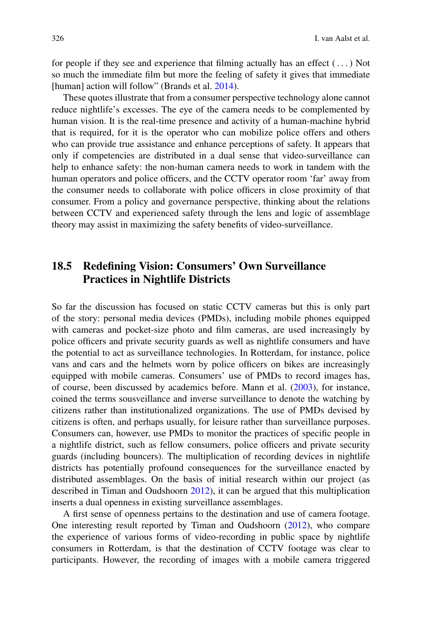for people if they see and experience that filming actually has an effect  $(\ldots)$  Not so much the immediate film but more the feeling of safety it gives that immediate [human] action will follow" (Brands et al. [2014\)](#page-17-12).

These quotes illustrate that from a consumer perspective technology alone cannot reduce nightlife's excesses. The eye of the camera needs to be complemented by human vision. It is the real-time presence and activity of a human-machine hybrid that is required, for it is the operator who can mobilize police offers and others who can provide true assistance and enhance perceptions of safety. It appears that only if competencies are distributed in a dual sense that video-surveillance can help to enhance safety: the non-human camera needs to work in tandem with the human operators and police officers, and the CCTV operator room 'far' away from the consumer needs to collaborate with police officers in close proximity of that consumer. From a policy and governance perspective, thinking about the relations between CCTV and experienced safety through the lens and logic of assemblage theory may assist in maximizing the safety benefits of video-surveillance.

### **18.5 Redefining Vision: Consumers' Own Surveillance Practices in Nightlife Districts**

So far the discussion has focused on static CCTV cameras but this is only part of the story: personal media devices (PMDs), including mobile phones equipped with cameras and pocket-size photo and film cameras, are used increasingly by police officers and private security guards as well as nightlife consumers and have the potential to act as surveillance technologies. In Rotterdam, for instance, police vans and cars and the helmets worn by police officers on bikes are increasingly equipped with mobile cameras. Consumers' use of PMDs to record images has, of course, been discussed by academics before. Mann et al. [\(2003\)](#page-18-25), for instance, coined the terms sousveillance and inverse surveillance to denote the watching by citizens rather than institutionalized organizations. The use of PMDs devised by citizens is often, and perhaps usually, for leisure rather than surveillance purposes. Consumers can, however, use PMDs to monitor the practices of specific people in a nightlife district, such as fellow consumers, police officers and private security guards (including bouncers). The multiplication of recording devices in nightlife districts has potentially profound consequences for the surveillance enacted by distributed assemblages. On the basis of initial research within our project (as described in Timan and Oudshoorn [2012\)](#page-19-12), it can be argued that this multiplication inserts a dual openness in existing surveillance assemblages.

A first sense of openness pertains to the destination and use of camera footage. One interesting result reported by Timan and Oudshoorn [\(2012\)](#page-19-12), who compare the experience of various forms of video-recording in public space by nightlife consumers in Rotterdam, is that the destination of CCTV footage was clear to participants. However, the recording of images with a mobile camera triggered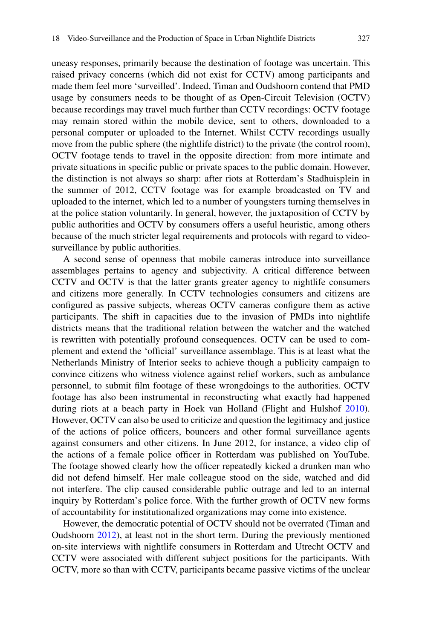uneasy responses, primarily because the destination of footage was uncertain. This raised privacy concerns (which did not exist for CCTV) among participants and made them feel more 'surveilled'. Indeed, Timan and Oudshoorn contend that PMD usage by consumers needs to be thought of as Open-Circuit Television (OCTV) because recordings may travel much further than CCTV recordings: OCTV footage may remain stored within the mobile device, sent to others, downloaded to a personal computer or uploaded to the Internet. Whilst CCTV recordings usually move from the public sphere (the nightlife district) to the private (the control room), OCTV footage tends to travel in the opposite direction: from more intimate and private situations in specific public or private spaces to the public domain. However, the distinction is not always so sharp: after riots at Rotterdam's Stadhuisplein in the summer of 2012, CCTV footage was for example broadcasted on TV and uploaded to the internet, which led to a number of youngsters turning themselves in at the police station voluntarily. In general, however, the juxtaposition of CCTV by public authorities and OCTV by consumers offers a useful heuristic, among others because of the much stricter legal requirements and protocols with regard to videosurveillance by public authorities.

A second sense of openness that mobile cameras introduce into surveillance assemblages pertains to agency and subjectivity. A critical difference between CCTV and OCTV is that the latter grants greater agency to nightlife consumers and citizens more generally. In CCTV technologies consumers and citizens are configured as passive subjects, whereas OCTV cameras configure them as active participants. The shift in capacities due to the invasion of PMDs into nightlife districts means that the traditional relation between the watcher and the watched is rewritten with potentially profound consequences. OCTV can be used to complement and extend the 'official' surveillance assemblage. This is at least what the Netherlands Ministry of Interior seeks to achieve though a publicity campaign to convince citizens who witness violence against relief workers, such as ambulance personnel, to submit film footage of these wrongdoings to the authorities. OCTV footage has also been instrumental in reconstructing what exactly had happened during riots at a beach party in Hoek van Holland (Flight and Hulshof [2010\)](#page-17-13). However, OCTV can also be used to criticize and question the legitimacy and justice of the actions of police officers, bouncers and other formal surveillance agents against consumers and other citizens. In June 2012, for instance, a video clip of the actions of a female police officer in Rotterdam was published on YouTube. The footage showed clearly how the officer repeatedly kicked a drunken man who did not defend himself. Her male colleague stood on the side, watched and did not interfere. The clip caused considerable public outrage and led to an internal inquiry by Rotterdam's police force. With the further growth of OCTV new forms of accountability for institutionalized organizations may come into existence.

However, the democratic potential of OCTV should not be overrated (Timan and Oudshoorn [2012\)](#page-19-12), at least not in the short term. During the previously mentioned on-site interviews with nightlife consumers in Rotterdam and Utrecht OCTV and CCTV were associated with different subject positions for the participants. With OCTV, more so than with CCTV, participants became passive victims of the unclear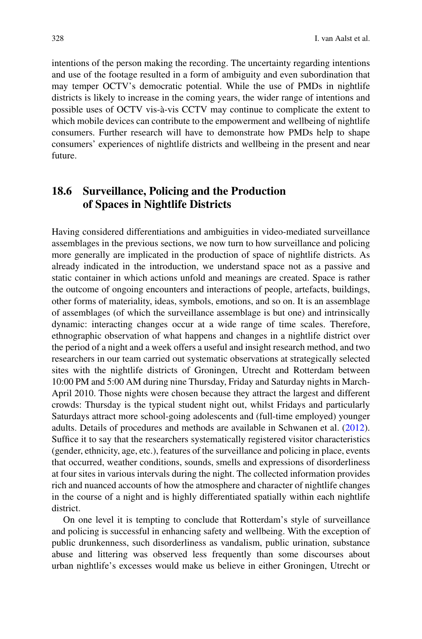intentions of the person making the recording. The uncertainty regarding intentions and use of the footage resulted in a form of ambiguity and even subordination that may temper OCTV's democratic potential. While the use of PMDs in nightlife districts is likely to increase in the coming years, the wider range of intentions and possible uses of OCTV vis-à-vis CCTV may continue to complicate the extent to which mobile devices can contribute to the empowerment and wellbeing of nightlife consumers. Further research will have to demonstrate how PMDs help to shape consumers' experiences of nightlife districts and wellbeing in the present and near future.

## **18.6 Surveillance, Policing and the Production of Spaces in Nightlife Districts**

Having considered differentiations and ambiguities in video-mediated surveillance assemblages in the previous sections, we now turn to how surveillance and policing more generally are implicated in the production of space of nightlife districts. As already indicated in the introduction, we understand space not as a passive and static container in which actions unfold and meanings are created. Space is rather the outcome of ongoing encounters and interactions of people, artefacts, buildings, other forms of materiality, ideas, symbols, emotions, and so on. It is an assemblage of assemblages (of which the surveillance assemblage is but one) and intrinsically dynamic: interacting changes occur at a wide range of time scales. Therefore, ethnographic observation of what happens and changes in a nightlife district over the period of a night and a week offers a useful and insight research method, and two researchers in our team carried out systematic observations at strategically selected sites with the nightlife districts of Groningen, Utrecht and Rotterdam between 10:00 PM and 5:00 AM during nine Thursday, Friday and Saturday nights in March-April 2010. Those nights were chosen because they attract the largest and different crowds: Thursday is the typical student night out, whilst Fridays and particularly Saturdays attract more school-going adolescents and (full-time employed) younger adults. Details of procedures and methods are available in Schwanen et al. [\(2012\)](#page-18-13). Suffice it to say that the researchers systematically registered visitor characteristics (gender, ethnicity, age, etc.), features of the surveillance and policing in place, events that occurred, weather conditions, sounds, smells and expressions of disorderliness at four sites in various intervals during the night. The collected information provides rich and nuanced accounts of how the atmosphere and character of nightlife changes in the course of a night and is highly differentiated spatially within each nightlife district.

On one level it is tempting to conclude that Rotterdam's style of surveillance and policing is successful in enhancing safety and wellbeing. With the exception of public drunkenness, such disorderliness as vandalism, public urination, substance abuse and littering was observed less frequently than some discourses about urban nightlife's excesses would make us believe in either Groningen, Utrecht or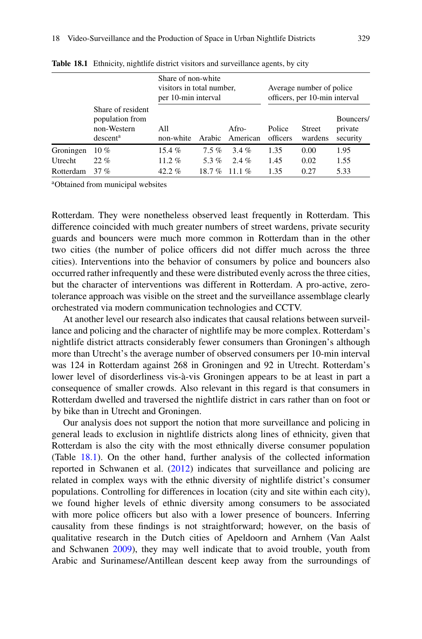<span id="page-14-0"></span>

|           |                                                                             | Share of non-white<br>visitors in total number,<br>per 10-min interval |           |                   | Average number of police.<br>officers, per 10-min interval |                          |                                  |
|-----------|-----------------------------------------------------------------------------|------------------------------------------------------------------------|-----------|-------------------|------------------------------------------------------------|--------------------------|----------------------------------|
|           | Share of resident<br>population from<br>non-Western<br>descent <sup>a</sup> | All<br>non-white                                                       | Arabic    | Afro-<br>American | Police<br>officers                                         | <b>Street</b><br>wardens | Bouncers/<br>private<br>security |
| Groningen | $10\%$                                                                      | 15.4 $%$                                                               | $7.5\%$   | $3.4\%$           | 1.35                                                       | 0.00                     | 1.95                             |
| Utrecht   | 22%                                                                         | 11.2 $%$                                                               | 5.3%      | $2.4\%$           | 1.45                                                       | 0.02                     | 1.55                             |
| Rotterdam | 37%                                                                         | $42.2\%$                                                               | $18.7 \%$ | 11.1 $%$          | 1.35                                                       | 0.27                     | 5.33                             |

Table 18.1 Ethnicity, nightlife district visitors and surveillance agents, by city

aObtained from municipal websites

Rotterdam. They were nonetheless observed least frequently in Rotterdam. This difference coincided with much greater numbers of street wardens, private security guards and bouncers were much more common in Rotterdam than in the other two cities (the number of police officers did not differ much across the three cities). Interventions into the behavior of consumers by police and bouncers also occurred rather infrequently and these were distributed evenly across the three cities, but the character of interventions was different in Rotterdam. A pro-active, zerotolerance approach was visible on the street and the surveillance assemblage clearly orchestrated via modern communication technologies and CCTV.

At another level our research also indicates that causal relations between surveillance and policing and the character of nightlife may be more complex. Rotterdam's nightlife district attracts considerably fewer consumers than Groningen's although more than Utrecht's the average number of observed consumers per 10-min interval was 124 in Rotterdam against 268 in Groningen and 92 in Utrecht. Rotterdam's lower level of disorderliness vis-à-vis Groningen appears to be at least in part a consequence of smaller crowds. Also relevant in this regard is that consumers in Rotterdam dwelled and traversed the nightlife district in cars rather than on foot or by bike than in Utrecht and Groningen.

Our analysis does not support the notion that more surveillance and policing in general leads to exclusion in nightlife districts along lines of ethnicity, given that Rotterdam is also the city with the most ethnically diverse consumer population (Table [18.1\)](#page-14-0). On the other hand, further analysis of the collected information reported in Schwanen et al. [\(2012\)](#page-18-13) indicates that surveillance and policing are related in complex ways with the ethnic diversity of nightlife district's consumer populations. Controlling for differences in location (city and site within each city), we found higher levels of ethnic diversity among consumers to be associated with more police officers but also with a lower presence of bouncers. Inferring causality from these findings is not straightforward; however, on the basis of qualitative research in the Dutch cities of Apeldoorn and Arnhem (Van Aalst and Schwanen [2009\)](#page-19-13), they may well indicate that to avoid trouble, youth from Arabic and Surinamese/Antillean descent keep away from the surroundings of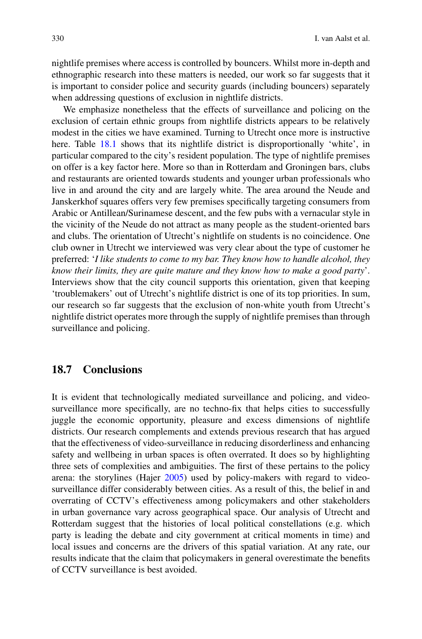nightlife premises where access is controlled by bouncers. Whilst more in-depth and ethnographic research into these matters is needed, our work so far suggests that it is important to consider police and security guards (including bouncers) separately when addressing questions of exclusion in nightlife districts.

We emphasize nonetheless that the effects of surveillance and policing on the exclusion of certain ethnic groups from nightlife districts appears to be relatively modest in the cities we have examined. Turning to Utrecht once more is instructive here. Table [18.1](#page-14-0) shows that its nightlife district is disproportionally 'white', in particular compared to the city's resident population. The type of nightlife premises on offer is a key factor here. More so than in Rotterdam and Groningen bars, clubs and restaurants are oriented towards students and younger urban professionals who live in and around the city and are largely white. The area around the Neude and Janskerkhof squares offers very few premises specifically targeting consumers from Arabic or Antillean/Surinamese descent, and the few pubs with a vernacular style in the vicinity of the Neude do not attract as many people as the student-oriented bars and clubs. The orientation of Utrecht's nightlife on students is no coincidence. One club owner in Utrecht we interviewed was very clear about the type of customer he preferred: '*I like students to come to my bar. They know how to handle alcohol, they know their limits, they are quite mature and they know how to make a good party*'. Interviews show that the city council supports this orientation, given that keeping 'troublemakers' out of Utrecht's nightlife district is one of its top priorities. In sum, our research so far suggests that the exclusion of non-white youth from Utrecht's nightlife district operates more through the supply of nightlife premises than through surveillance and policing.

### **18.7 Conclusions**

It is evident that technologically mediated surveillance and policing, and videosurveillance more specifically, are no techno-fix that helps cities to successfully juggle the economic opportunity, pleasure and excess dimensions of nightlife districts. Our research complements and extends previous research that has argued that the effectiveness of video-surveillance in reducing disorderliness and enhancing safety and wellbeing in urban spaces is often overrated. It does so by highlighting three sets of complexities and ambiguities. The first of these pertains to the policy arena: the storylines (Hajer [2005\)](#page-18-14) used by policy-makers with regard to videosurveillance differ considerably between cities. As a result of this, the belief in and overrating of CCTV's effectiveness among policymakers and other stakeholders in urban governance vary across geographical space. Our analysis of Utrecht and Rotterdam suggest that the histories of local political constellations (e.g. which party is leading the debate and city government at critical moments in time) and local issues and concerns are the drivers of this spatial variation. At any rate, our results indicate that the claim that policymakers in general overestimate the benefits of CCTV surveillance is best avoided.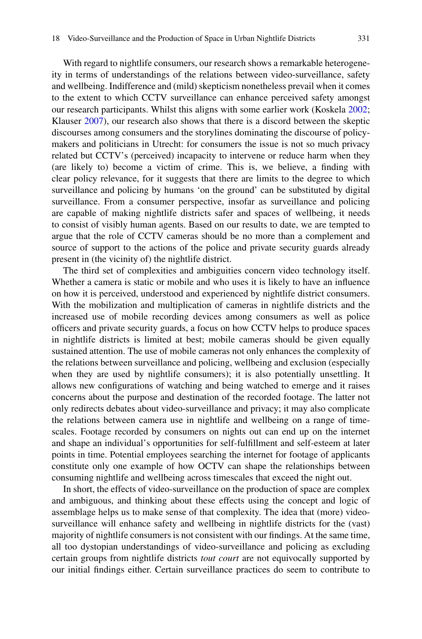With regard to nightlife consumers, our research shows a remarkable heterogeneity in terms of understandings of the relations between video-surveillance, safety and wellbeing. Indifference and (mild) skepticism nonetheless prevail when it comes to the extent to which CCTV surveillance can enhance perceived safety amongst our research participants. Whilst this aligns with some earlier work (Koskela [2002;](#page-18-10) Klauser [2007\)](#page-18-24), our research also shows that there is a discord between the skeptic discourses among consumers and the storylines dominating the discourse of policymakers and politicians in Utrecht: for consumers the issue is not so much privacy related but CCTV's (perceived) incapacity to intervene or reduce harm when they (are likely to) become a victim of crime. This is, we believe, a finding with clear policy relevance, for it suggests that there are limits to the degree to which surveillance and policing by humans 'on the ground' can be substituted by digital surveillance. From a consumer perspective, insofar as surveillance and policing are capable of making nightlife districts safer and spaces of wellbeing, it needs to consist of visibly human agents. Based on our results to date, we are tempted to argue that the role of CCTV cameras should be no more than a complement and source of support to the actions of the police and private security guards already present in (the vicinity of) the nightlife district.

The third set of complexities and ambiguities concern video technology itself. Whether a camera is static or mobile and who uses it is likely to have an influence on how it is perceived, understood and experienced by nightlife district consumers. With the mobilization and multiplication of cameras in nightlife districts and the increased use of mobile recording devices among consumers as well as police officers and private security guards, a focus on how CCTV helps to produce spaces in nightlife districts is limited at best; mobile cameras should be given equally sustained attention. The use of mobile cameras not only enhances the complexity of the relations between surveillance and policing, wellbeing and exclusion (especially when they are used by nightlife consumers); it is also potentially unsettling. It allows new configurations of watching and being watched to emerge and it raises concerns about the purpose and destination of the recorded footage. The latter not only redirects debates about video-surveillance and privacy; it may also complicate the relations between camera use in nightlife and wellbeing on a range of timescales. Footage recorded by consumers on nights out can end up on the internet and shape an individual's opportunities for self-fulfillment and self-esteem at later points in time. Potential employees searching the internet for footage of applicants constitute only one example of how OCTV can shape the relationships between consuming nightlife and wellbeing across timescales that exceed the night out.

In short, the effects of video-surveillance on the production of space are complex and ambiguous, and thinking about these effects using the concept and logic of assemblage helps us to make sense of that complexity. The idea that (more) videosurveillance will enhance safety and wellbeing in nightlife districts for the (vast) majority of nightlife consumers is not consistent with our findings. At the same time, all too dystopian understandings of video-surveillance and policing as excluding certain groups from nightlife districts *tout court* are not equivocally supported by our initial findings either. Certain surveillance practices do seem to contribute to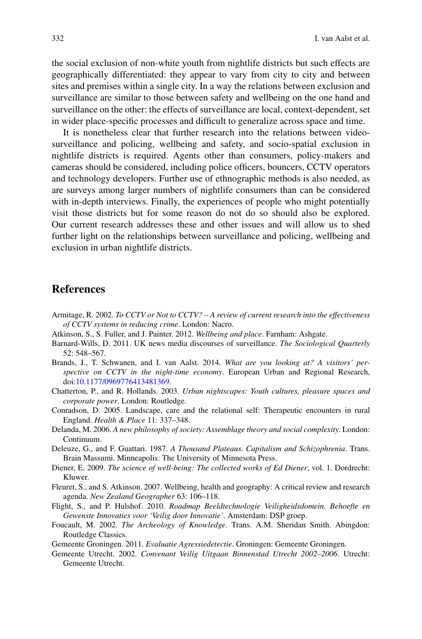the social exclusion of non-white youth from nightlife districts but such effects are geographically differentiated: they appear to vary from city to city and between sites and premises within a single city. In a way the relations between exclusion and surveillance are similar to those between safety and wellbeing on the one hand and surveillance on the other: the effects of surveillance are local, context-dependent, set in wider place-specific processes and difficult to generalize across space and time.

It is nonetheless clear that further research into the relations between videosurveillance and policing, wellbeing and safety, and socio-spatial exclusion in nightlife districts is required. Agents other than consumers, policy-makers and cameras should be considered, including police officers, bouncers, CCTV operators and technology developers. Further use of ethnographic methods is also needed, as are surveys among larger numbers of nightlife consumers than can be considered with in-depth interviews. Finally, the experiences of people who might potentially visit those districts but for some reason do not do so should also be explored. Our current research addresses these and other issues and will allow us to shed further light on the relationships between surveillance and policing, wellbeing and exclusion in urban nightlife districts.

#### **References**

- <span id="page-17-4"></span>Armitage, R. 2002. *To CCTV or Not to CCTV? – A review of current research into the effectiveness of CCTV systems in reducing crime*. London: Nacro.
- <span id="page-17-3"></span>Atkinson, S., S. Fuller, and J. Painter. 2012. *Wellbeing and place*. Farnham: Ashgate.
- <span id="page-17-11"></span>Barnard-Wills, D. 2011. UK news media discourses of surveillance. *The Sociological Quarterly* 52: 548–567.
- <span id="page-17-12"></span>Brands, J., T. Schwanen, and I. van Aalst. 2014. *What are you looking at? A visitors' perspective on CCTV in the night-time economy*. European Urban and Regional Research, doi[:10.1177/0969776413481369.](http://dx.doi.org/10.1177/0969776413481369)
- <span id="page-17-9"></span>Chatterton, P., and R. Hollands. 2003. *Urban nightscapes: Youth cultures, pleasure spaces and corporate power*. London: Routledge.
- <span id="page-17-1"></span>Conradson, D. 2005. Landscape, care and the relational self: Therapeutic encounters in rural England. *Health & Place* 11: 337–348.
- <span id="page-17-6"></span>Delanda, M. 2006. *A new philosophy of society: Assemblage theory and social complexity*. London: Continuum.
- <span id="page-17-5"></span>Deleuze, G., and F. Guattari. 1987. *A Thousand Plateaus. Capitalism and Schizophrenia*. Trans. Brain Massumi. Minneapolis: The University of Minnesota Press.
- <span id="page-17-0"></span>Diener, E. 2009. *The science of well-being: The collected works of Ed Diener*, vol. 1. Dordrecht: Kluwer.
- <span id="page-17-2"></span>Fleuret, S., and S. Atkinson. 2007. Wellbeing, health and geography: A critical review and research agenda. *New Zealand Geographer* 63: 106–118.
- <span id="page-17-13"></span>Flight, S., and P. Hulshof. 2010. *Roadmap Beeldtechnologie Veiligheidsdomein. Behoefte en Gewenste Innovaties voor 'Veilig door Innovatie'*. Amsterdam: DSP groep.
- <span id="page-17-8"></span>Foucault, M. 2002. *The Archeology of Knowledge*. Trans. A.M. Sheridan Smith. Abingdon: Routledge Classics.
- <span id="page-17-7"></span>Gemeente Groningen. 2011. *Evaluatie Agressiedetectie*. Groningen: Gemeente Groningen.
- <span id="page-17-10"></span>Gemeente Utrecht. 2002. *Convenant Veilig Uitgaan Binnenstad Utrecht 2002–2006*. Utrecht: Gemeente Utrecht.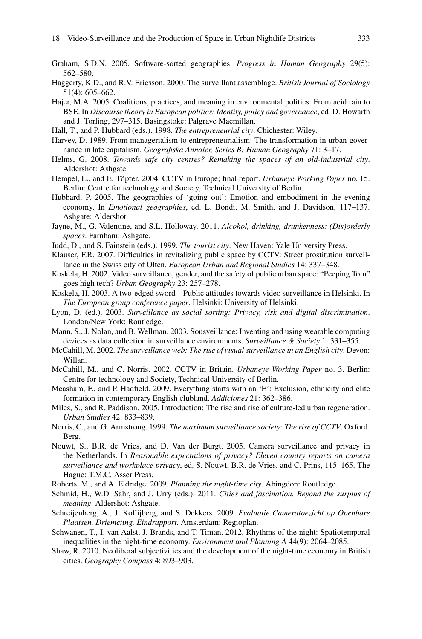- <span id="page-18-12"></span>Graham, S.D.N. 2005. Software-sorted geographies. *Progress in Human Geography* 29(5): 562–580.
- <span id="page-18-18"></span>Haggerty, K.D., and R.V. Ericsson. 2000. The surveillant assemblage. *British Journal of Sociology* 51(4): 605–662.
- <span id="page-18-14"></span>Hajer, M.A. 2005. Coalitions, practices, and meaning in environmental politics: From acid rain to BSE. In *Discourse theory in European politics: Identity, policy and governance*, ed. D. Howarth and J. Torfing, 297–315. Basingstoke: Palgrave Macmillan.
- <span id="page-18-1"></span>Hall, T., and P. Hubbard (eds.). 1998. *The entrepreneurial city*. Chichester: Wiley.
- <span id="page-18-0"></span>Harvey, D. 1989. From managerialism to entrepreneurialism: The transformation in urban governance in late capitalism. *Geografiska Annaler, Series B: Human Geography* 71: 3–17.
- <span id="page-18-9"></span>Helms, G. 2008. *Towards safe city centres? Remaking the spaces of an old-industrial city*. Aldershot: Ashgate.
- <span id="page-18-21"></span>Hempel, L., and E. Töpfer. 2004. CCTV in Europe; final report. *Urbaneye Working Paper* no. 15. Berlin: Centre for technology and Society, Technical University of Berlin.
- <span id="page-18-6"></span>Hubbard, P. 2005. The geographies of 'going out': Emotion and embodiment in the evening economy. In *Emotional geographies*, ed. L. Bondi, M. Smith, and J. Davidson, 117–137. Ashgate: Aldershot.
- <span id="page-18-8"></span>Jayne, M., G. Valentine, and S.L. Holloway. 2011. *Alcohol, drinking, drunkenness: (Dis)orderly spaces*. Farnham: Ashgate.
- <span id="page-18-2"></span>Judd, D., and S. Fainstein (eds.). 1999. *The tourist city*. New Haven: Yale University Press.
- <span id="page-18-24"></span>Klauser, F.R. 2007. Difficulties in revitalizing public space by CCTV: Street prostitution surveillance in the Swiss city of Olten. *European Urban and Regional Studies* 14: 337–348.
- <span id="page-18-10"></span>Koskela, H. 2002. Video surveillance, gender, and the safety of public urban space: "Peeping Tom" goes high tech? *Urban Geography* 23: 257–278.
- <span id="page-18-23"></span>Koskela, H. 2003. A two-edged sword – Public attitudes towards video surveillance in Helsinki. In *The European group conference paper*. Helsinki: University of Helsinki.
- <span id="page-18-16"></span>Lyon, D. (ed.). 2003. *Surveillance as social sorting: Privacy, risk and digital discrimination*. London/New York: Routledge.
- <span id="page-18-25"></span>Mann, S., J. Nolan, and B. Wellman. 2003. Sousveillance: Inventing and using wearable computing devices as data collection in surveillance environments. *Surveillance & Society* 1: 331–355.
- <span id="page-18-19"></span>McCahill, M. 2002. *The surveillance web: The rise of visual surveillance in an English city*. Devon: Willan.
- <span id="page-18-20"></span>McCahill, M., and C. Norris. 2002. CCTV in Britain. *Urbaneye Working Paper* no. 3. Berlin: Centre for technology and Society, Technical University of Berlin.
- <span id="page-18-17"></span>Measham, F., and P. Hadfield. 2009. Everything starts with an 'E': Exclusion, ethnicity and elite formation in contemporary English clubland. *Addiciones* 21: 362–386.
- <span id="page-18-3"></span>Miles, S., and R. Paddison. 2005. Introduction: The rise and rise of culture-led urban regeneration. *Urban Studies* 42: 833–839.
- <span id="page-18-11"></span>Norris, C., and G. Armstrong. 1999. *The maximum surveillance society: The rise of CCTV*. Oxford: Berg.
- <span id="page-18-22"></span>Nouwt, S., B.R. de Vries, and D. Van der Burgt. 2005. Camera surveillance and privacy in the Netherlands. In *Reasonable expectations of privacy? Eleven country reports on camera surveillance and workplace privacy*, ed. S. Nouwt, B.R. de Vries, and C. Prins, 115–165. The Hague: T.M.C. Asser Press.
- <span id="page-18-7"></span>Roberts, M., and A. Eldridge. 2009. *Planning the night-time city*. Abingdon: Routledge.
- <span id="page-18-4"></span>Schmid, H., W.D. Sahr, and J. Urry (eds.). 2011. *Cities and fascination. Beyond the surplus of meaning*. Aldershot: Ashgate.
- <span id="page-18-15"></span>Schreijenberg, A., J. Koffijberg, and S. Dekkers. 2009. *Evaluatie Cameratoezicht op Openbare Plaatsen, Driemeting, Eindrapport*. Amsterdam: Regioplan.
- <span id="page-18-13"></span>Schwanen, T., I. van Aalst, J. Brands, and T. Timan. 2012. Rhythms of the night: Spatiotemporal inequalities in the night-time economy. *Environment and Planning A* 44(9): 2064–2085.
- <span id="page-18-5"></span>Shaw, R. 2010. Neoliberal subjectivities and the development of the night-time economy in British cities. *Geography Compass* 4: 893–903.